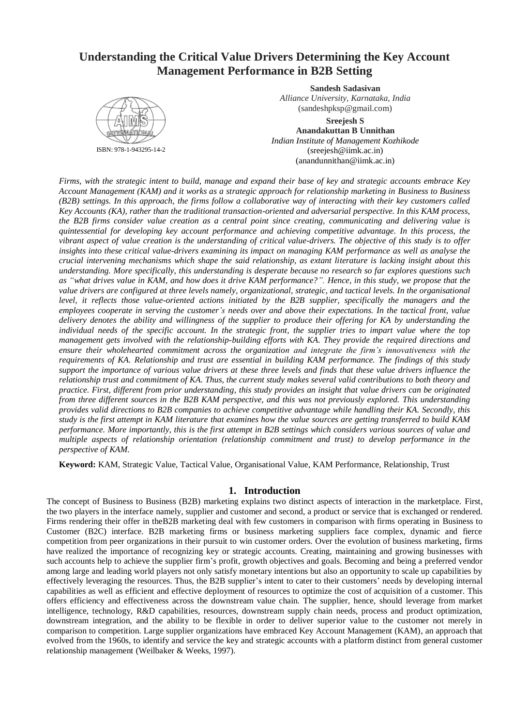# **Understanding the Critical Value Drivers Determining the Key Account Management Performance in B2B Setting**



ISBN: 978-1-943295-14-2

**Sandesh Sadasivan** *Alliance University, Karnataka, India* (sandeshpksp@gmail.com)

**Sreejesh S Anandakuttan B Unnithan** *Indian Institute of Management Kozhikode* (sreejesh@iimk.ac.in) (anandunnithan@iimk.ac.in)

*Firms, with the strategic intent to build, manage and expand their base of key and strategic accounts embrace Key Account Management (KAM) and it works as a strategic approach for relationship marketing in Business to Business (B2B) settings. In this approach, the firms follow a collaborative way of interacting with their key customers called Key Accounts (KA), rather than the traditional transaction-oriented and adversarial perspective. In this KAM process, the B2B firms consider value creation as a central point since creating, communicating and delivering value is quintessential for developing key account performance and achieving competitive advantage. In this process, the vibrant aspect of value creation is the understanding of critical value-drivers. The objective of this study is to offer insights into these critical value-drivers examining its impact on managing KAM performance as well as analyse the crucial intervening mechanisms which shape the said relationship, as extant literature is lacking insight about this understanding. More specifically, this understanding is desperate because no research so far explores questions such as "what drives value in KAM, and how does it drive KAM performance?". Hence, in this study, we propose that the value drivers are configured at three levels namely, organizational, strategic, and tactical levels. In the organisational level, it reflects those value-oriented actions initiated by the B2B supplier, specifically the managers and the employees cooperate in serving the customer's needs over and above their expectations. In the tactical front, value delivery denotes the ability and willingness of the supplier to produce their offering for KA by understanding the individual needs of the specific account. In the strategic front, the supplier tries to impart value where the top management gets involved with the relationship-building efforts with KA. They provide the required directions and ensure their wholehearted commitment across the organization and integrate the firm's innovativeness with the requirements of KA. Relationship and trust are essential in building KAM performance. The findings of this study support the importance of various value drivers at these three levels and finds that these value drivers influence the relationship trust and commitment of KA. Thus, the current study makes several valid contributions to both theory and practice. First, different from prior understanding, this study provides an insight that value drivers can be originated from three different sources in the B2B KAM perspective, and this was not previously explored. This understanding provides valid directions to B2B companies to achieve competitive advantage while handling their KA. Secondly, this study is the first attempt in KAM literature that examines how the value sources are getting transferred to build KAM performance. More importantly, this is the first attempt in B2B settings which considers various sources of value and multiple aspects of relationship orientation (relationship commitment and trust) to develop performance in the perspective of KAM.*

**Keyword:** KAM, Strategic Value, Tactical Value, Organisational Value, KAM Performance, Relationship, Trust

# **1. Introduction**

The concept of Business to Business (B2B) marketing explains two distinct aspects of interaction in the marketplace. First, the two players in the interface namely, supplier and customer and second, a product or service that is exchanged or rendered. Firms rendering their offer in theB2B marketing deal with few customers in comparison with firms operating in Business to Customer (B2C) interface. B2B marketing firms or business marketing suppliers face complex, dynamic and fierce competition from peer organizations in their pursuit to win customer orders. Over the evolution of business marketing, firms have realized the importance of recognizing key or strategic accounts. Creating, maintaining and growing businesses with such accounts help to achieve the supplier firm's profit, growth objectives and goals. Becoming and being a preferred vendor among large and leading world players not only satisfy monetary intentions but also an opportunity to scale up capabilities by effectively leveraging the resources. Thus, the B2B supplier's intent to cater to their customers' needs by developing internal capabilities as well as efficient and effective deployment of resources to optimize the cost of acquisition of a customer. This offers efficiency and effectiveness across the downstream value chain. The supplier, hence, should leverage from market intelligence, technology, R&D capabilities, resources, downstream supply chain needs, process and product optimization, downstream integration, and the ability to be flexible in order to deliver superior value to the customer not merely in comparison to competition. Large supplier organizations have embraced Key Account Management (KAM), an approach that evolved from the 1960s, to identify and service the key and strategic accounts with a platform distinct from general customer relationship management (Weilbaker & Weeks, 1997).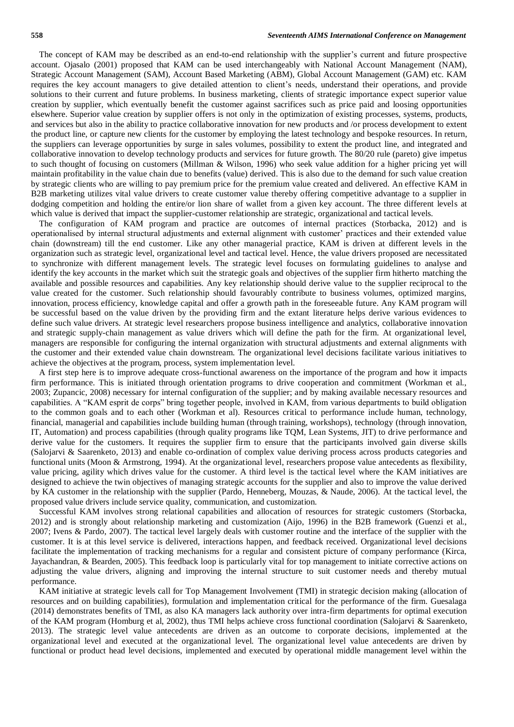The concept of KAM may be described as an end-to-end relationship with the supplier's current and future prospective account. Ojasalo (2001) proposed that KAM can be used interchangeably with National Account Management (NAM), Strategic Account Management (SAM), Account Based Marketing (ABM), Global Account Management (GAM) etc. KAM requires the key account managers to give detailed attention to client's needs, understand their operations, and provide solutions to their current and future problems. In business marketing, clients of strategic importance expect superior value creation by supplier, which eventually benefit the customer against sacrifices such as price paid and loosing opportunities elsewhere. Superior value creation by supplier offers is not only in the optimization of existing processes, systems, products, and services but also in the ability to practice collaborative innovation for new products and /or process development to extent the product line, or capture new clients for the customer by employing the latest technology and bespoke resources. In return, the suppliers can leverage opportunities by surge in sales volumes, possibility to extent the product line, and integrated and collaborative innovation to develop technology products and services for future growth. The 80/20 rule (pareto) give impetus to such thought of focusing on customers (Millman & Wilson, 1996) who seek value addition for a higher pricing yet will maintain profitability in the value chain due to benefits (value) derived. This is also due to the demand for such value creation by strategic clients who are willing to pay premium price for the premium value created and delivered. An effective KAM in B2B marketing utilizes vital value drivers to create customer value thereby offering competitive advantage to a supplier in dodging competition and holding the entire/or lion share of wallet from a given key account. The three different levels at which value is derived that impact the supplier-customer relationship are strategic, organizational and tactical levels.

The configuration of KAM program and practice are outcomes of internal practices (Storbacka, 2012) and is operationalised by internal structural adjustments and external alignment with customer' practices and their extended value chain (downstream) till the end customer. Like any other managerial practice, KAM is driven at different levels in the organization such as strategic level, organizational level and tactical level. Hence, the value drivers proposed are necessitated to synchronize with different management levels. The strategic level focuses on formulating guidelines to analyse and identify the key accounts in the market which suit the strategic goals and objectives of the supplier firm hitherto matching the available and possible resources and capabilities. Any key relationship should derive value to the supplier reciprocal to the value created for the customer. Such relationship should favourably contribute to business volumes, optimized margins, innovation, process efficiency, knowledge capital and offer a growth path in the foreseeable future. Any KAM program will be successful based on the value driven by the providing firm and the extant literature helps derive various evidences to define such value drivers. At strategic level researchers propose business intelligence and analytics, collaborative innovation and strategic supply-chain management as value drivers which will define the path for the firm. At organizational level, managers are responsible for configuring the internal organization with structural adjustments and external alignments with the customer and their extended value chain downstream. The organizational level decisions facilitate various initiatives to achieve the objectives at the program, process, system implementation level.

A first step here is to improve adequate cross-functional awareness on the importance of the program and how it impacts firm performance. This is initiated through orientation programs to drive cooperation and commitment (Workman et al., 2003; Zupancic, 2008) necessary for internal configuration of the supplier; and by making available necessary resources and capabilities. A "KAM esprit de corps" bring together people, involved in KAM, from various departments to build obligation to the common goals and to each other (Workman et al). Resources critical to performance include human, technology, financial, managerial and capabilities include building human (through training, workshops), technology (through innovation, IT, Automation) and process capabilities (through quality programs like TQM, Lean Systems, JIT) to drive performance and derive value for the customers. It requires the supplier firm to ensure that the participants involved gain diverse skills (Salojarvi & Saarenketo, 2013) and enable co-ordination of complex value deriving process across products categories and functional units (Moon & Armstrong, 1994). At the organizational level, researchers propose value antecedents as flexibility, value pricing, agility which drives value for the customer. A third level is the tactical level where the KAM initiatives are designed to achieve the twin objectives of managing strategic accounts for the supplier and also to improve the value derived by KA customer in the relationship with the supplier (Pardo, Henneberg, Mouzas, & Naude, 2006). At the tactical level, the proposed value drivers include service quality, communication, and customization.

Successful KAM involves strong relational capabilities and allocation of resources for strategic customers (Storbacka, 2012) and is strongly about relationship marketing and customization (Aijo, 1996) in the B2B framework (Guenzi et al., 2007; Ivens & Pardo, 2007). The tactical level largely deals with customer routine and the interface of the supplier with the customer. It is at this level service is delivered, interactions happen, and feedback received. Organizational level decisions facilitate the implementation of tracking mechanisms for a regular and consistent picture of company performance (Kirca, Jayachandran, & Bearden, 2005). This feedback loop is particularly vital for top management to initiate corrective actions on adjusting the value drivers, aligning and improving the internal structure to suit customer needs and thereby mutual performance.

KAM initiative at strategic levels call for Top Management Involvement (TMI) in strategic decision making (allocation of resources and on building capabilities), formulation and implementation critical for the performance of the firm. Guesalaga (2014) demonstrates benefits of TMI, as also KA managers lack authority over intra-firm departments for optimal execution of the KAM program (Homburg et al, 2002), thus TMI helps achieve cross functional coordination (Salojarvi & Saarenketo, 2013). The strategic level value antecedents are driven as an outcome to corporate decisions, implemented at the organizational level and executed at the organizational level. The organizational level value antecedents are driven by functional or product head level decisions, implemented and executed by operational middle management level within the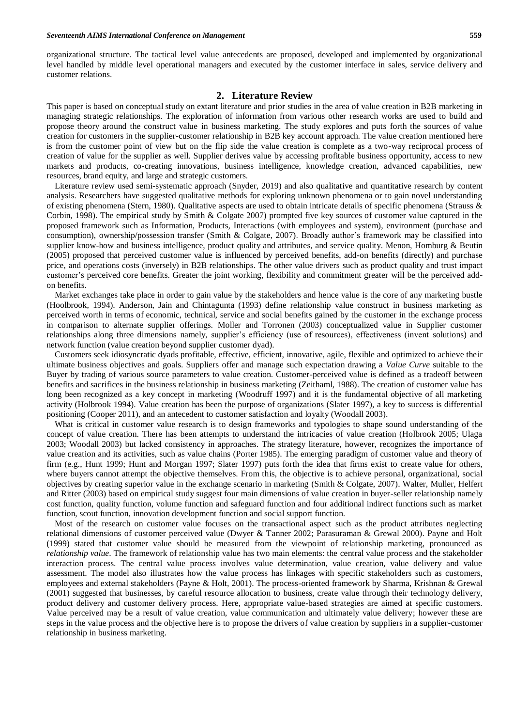organizational structure. The tactical level value antecedents are proposed, developed and implemented by organizational level handled by middle level operational managers and executed by the customer interface in sales, service delivery and customer relations.

## **2. Literature Review**

This paper is based on conceptual study on extant literature and prior studies in the area of value creation in B2B marketing in managing strategic relationships. The exploration of information from various other research works are used to build and propose theory around the construct value in business marketing. The study explores and puts forth the sources of value creation for customers in the supplier-customer relationship in B2B key account approach. The value creation mentioned here is from the customer point of view but on the flip side the value creation is complete as a two-way reciprocal process of creation of value for the supplier as well. Supplier derives value by accessing profitable business opportunity, access to new markets and products, co-creating innovations, business intelligence, knowledge creation, advanced capabilities, new resources, brand equity, and large and strategic customers.

Literature review used semi-systematic approach (Snyder, 2019) and also qualitative and quantitative research by content analysis. Researchers have suggested qualitative methods for exploring unknown phenomena or to gain novel understanding of existing phenomena (Stern, 1980). Qualitative aspects are used to obtain intricate details of specific phenomena (Strauss & Corbin, 1998). The empirical study by Smith & Colgate 2007) prompted five key sources of customer value captured in the proposed framework such as Information, Products, Interactions (with employees and system), environment (purchase and consumption), ownership/possession transfer (Smith & Colgate, 2007). Broadly author's framework may be classified into supplier know-how and business intelligence, product quality and attributes, and service quality. Menon, Homburg & Beutin (2005) proposed that perceived customer value is influenced by perceived benefits, add-on benefits (directly) and purchase price, and operations costs (inversely) in B2B relationships. The other value drivers such as product quality and trust impact customer's perceived core benefits. Greater the joint working, flexibility and commitment greater will be the perceived addon benefits.

Market exchanges take place in order to gain value by the stakeholders and hence value is the core of any marketing bustle (Hoolbrook, 1994). Anderson, Jain and Chintagunta (1993) define relationship value construct in business marketing as perceived worth in terms of economic, technical, service and social benefits gained by the customer in the exchange process in comparison to alternate supplier offerings. Moller and Torronen (2003) conceptualized value in Supplier customer relationships along three dimensions namely, supplier's efficiency (use of resources), effectiveness (invent solutions) and network function (value creation beyond supplier customer dyad).

Customers seek idiosyncratic dyads profitable, effective, efficient, innovative, agile, flexible and optimized to achieve their ultimate business objectives and goals. Suppliers offer and manage such expectation drawing a *Value Curve* suitable to the Buyer by trading of various source parameters to value creation. Customer-perceived value is defined as a tradeoff between benefits and sacrifices in the business relationship in business marketing (Zeithaml, 1988). The creation of customer value has long been recognized as a key concept in marketing (Woodruff 1997) and it is the fundamental objective of all marketing activity (Holbrook 1994). Value creation has been the purpose of organizations (Slater 1997), a key to success is differential positioning (Cooper 2011), and an antecedent to customer satisfaction and loyalty (Woodall 2003).

What is critical in customer value research is to design frameworks and typologies to shape sound understanding of the concept of value creation. There has been attempts to understand the intricacies of value creation (Holbrook 2005; Ulaga 2003; Woodall 2003) but lacked consistency in approaches. The strategy literature, however, recognizes the importance of value creation and its activities, such as value chains (Porter 1985). The emerging paradigm of customer value and theory of firm (e.g., Hunt 1999; Hunt and Morgan 1997; Slater 1997) puts forth the idea that firms exist to create value for others, where buyers cannot attempt the objective themselves. From this, the objective is to achieve personal, organizational, social objectives by creating superior value in the exchange scenario in marketing (Smith & Colgate, 2007). Walter, Muller, Helfert and Ritter (2003) based on empirical study suggest four main dimensions of value creation in buyer-seller relationship namely cost function, quality function, volume function and safeguard function and four additional indirect functions such as market function, scout function, innovation development function and social support function.

Most of the research on customer value focuses on the transactional aspect such as the product attributes neglecting relational dimensions of customer perceived value (Dwyer & Tanner 2002; Parasuraman & Grewal 2000). Payne and Holt (1999) stated that customer value should be measured from the viewpoint of relationship marketing, pronounced as *relationship value*. The framework of relationship value has two main elements: the central value process and the stakeholder interaction process. The central value process involves value determination, value creation, value delivery and value assessment. The model also illustrates how the value process has linkages with specific stakeholders such as customers, employees and external stakeholders (Payne & Holt, 2001). The process-oriented framework by Sharma, Krishnan & Grewal (2001) suggested that businesses, by careful resource allocation to business, create value through their technology delivery, product delivery and customer delivery process. Here, appropriate value-based strategies are aimed at specific customers. Value perceived may be a result of value creation, value communication and ultimately value delivery; however these are steps in the value process and the objective here is to propose the drivers of value creation by suppliers in a supplier-customer relationship in business marketing.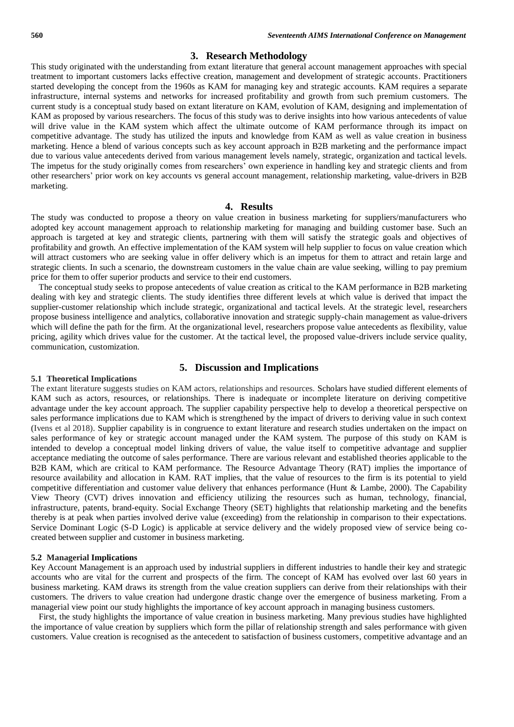## **3. Research Methodology**

This study originated with the understanding from extant literature that general account management approaches with special treatment to important customers lacks effective creation, management and development of strategic accounts. Practitioners started developing the concept from the 1960s as KAM for managing key and strategic accounts. KAM requires a separate infrastructure, internal systems and networks for increased profitability and growth from such premium customers. The current study is a conceptual study based on extant literature on KAM, evolution of KAM, designing and implementation of KAM as proposed by various researchers. The focus of this study was to derive insights into how various antecedents of value will drive value in the KAM system which affect the ultimate outcome of KAM performance through its impact on competitive advantage. The study has utilized the inputs and knowledge from KAM as well as value creation in business marketing. Hence a blend of various concepts such as key account approach in B2B marketing and the performance impact due to various value antecedents derived from various management levels namely, strategic, organization and tactical levels. The impetus for the study originally comes from researchers' own experience in handling key and strategic clients and from other researchers' prior work on key accounts vs general account management, relationship marketing, value-drivers in B2B marketing.

## **4. Results**

The study was conducted to propose a theory on value creation in business marketing for suppliers/manufacturers who adopted key account management approach to relationship marketing for managing and building customer base. Such an approach is targeted at key and strategic clients, partnering with them will satisfy the strategic goals and objectives of profitability and growth. An effective implementation of the KAM system will help supplier to focus on value creation which will attract customers who are seeking value in offer delivery which is an impetus for them to attract and retain large and strategic clients. In such a scenario, the downstream customers in the value chain are value seeking, willing to pay premium price for them to offer superior products and service to their end customers.

The conceptual study seeks to propose antecedents of value creation as critical to the KAM performance in B2B marketing dealing with key and strategic clients. The study identifies three different levels at which value is derived that impact the supplier-customer relationship which include strategic, organizational and tactical levels. At the strategic level, researchers propose business intelligence and analytics, collaborative innovation and strategic supply-chain management as value-drivers which will define the path for the firm. At the organizational level, researchers propose value antecedents as flexibility, value pricing, agility which drives value for the customer. At the tactical level, the proposed value-drivers include service quality, communication, customization.

## **5. Discussion and Implications**

## **5.1 Theoretical Implications**

The extant literature suggests studies on KAM actors, relationships and resources. Scholars have studied different elements of KAM such as actors, resources, or relationships. There is inadequate or incomplete literature on deriving competitive advantage under the key account approach. The supplier capability perspective help to develop a theoretical perspective on sales performance implications due to KAM which is strengthened by the impact of drivers to deriving value in such context (Ivens et al 2018). Supplier capability is in congruence to extant literature and research studies undertaken on the impact on sales performance of key or strategic account managed under the KAM system. The purpose of this study on KAM is intended to develop a conceptual model linking drivers of value, the value itself to competitive advantage and supplier acceptance mediating the outcome of sales performance. There are various relevant and established theories applicable to the B2B KAM, which are critical to KAM performance. The Resource Advantage Theory (RAT) implies the importance of resource availability and allocation in KAM. RAT implies, that the value of resources to the firm is its potential to yield competitive differentiation and customer value delivery that enhances performance (Hunt & Lambe, 2000). The Capability View Theory (CVT) drives innovation and efficiency utilizing the resources such as human, technology, financial, infrastructure, patents, brand-equity. Social Exchange Theory (SET) highlights that relationship marketing and the benefits thereby is at peak when parties involved derive value (exceeding) from the relationship in comparison to their expectations. Service Dominant Logic (S-D Logic) is applicable at service delivery and the widely proposed view of service being cocreated between supplier and customer in business marketing.

#### **5.2 Managerial Implications**

Key Account Management is an approach used by industrial suppliers in different industries to handle their key and strategic accounts who are vital for the current and prospects of the firm. The concept of KAM has evolved over last 60 years in business marketing. KAM draws its strength from the value creation suppliers can derive from their relationships with their customers. The drivers to value creation had undergone drastic change over the emergence of business marketing. From a managerial view point our study highlights the importance of key account approach in managing business customers.

First, the study highlights the importance of value creation in business marketing. Many previous studies have highlighted the importance of value creation by suppliers which form the pillar of relationship strength and sales performance with given customers. Value creation is recognised as the antecedent to satisfaction of business customers, competitive advantage and an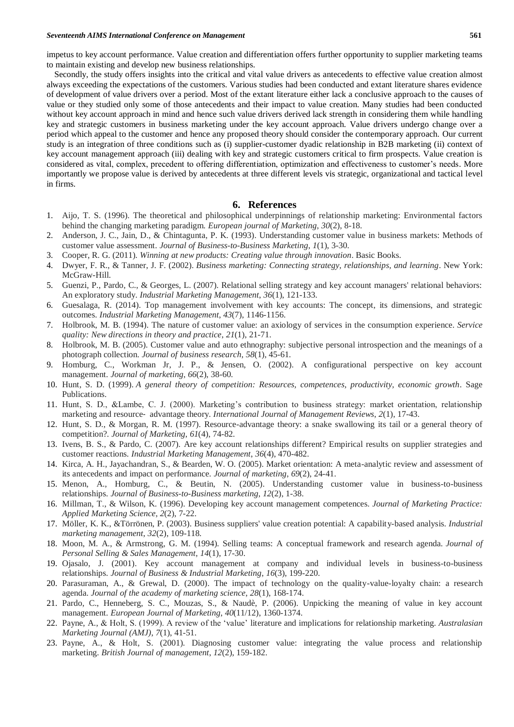impetus to key account performance. Value creation and differentiation offers further opportunity to supplier marketing teams to maintain existing and develop new business relationships.

Secondly, the study offers insights into the critical and vital value drivers as antecedents to effective value creation almost always exceeding the expectations of the customers. Various studies had been conducted and extant literature shares evidence of development of value drivers over a period. Most of the extant literature either lack a conclusive approach to the causes of value or they studied only some of those antecedents and their impact to value creation. Many studies had been conducted without key account approach in mind and hence such value drivers derived lack strength in considering them while handling key and strategic customers in business marketing under the key account approach. Value drivers undergo change over a period which appeal to the customer and hence any proposed theory should consider the contemporary approach. Our current study is an integration of three conditions such as (i) supplier-customer dyadic relationship in B2B marketing (ii) context of key account management approach (iii) dealing with key and strategic customers critical to firm prospects. Value creation is considered as vital, complex, precedent to offering differentiation, optimization and effectiveness to customer's needs. More importantly we propose value is derived by antecedents at three different levels vis strategic, organizational and tactical level in firms.

## **6. References**

- 1. Aijo, T. S. (1996). The theoretical and philosophical underpinnings of relationship marketing: Environmental factors behind the changing marketing paradigm. *European journal of Marketing*, *30*(2), 8-18.
- 2. Anderson, J. C., Jain, D., & Chintagunta, P. K. (1993). Understanding customer value in business markets: Methods of customer value assessment. *Journal of Business-to-Business Marketing*, *1*(1), 3-30.
- 3. Cooper, R. G. (2011). *Winning at new products: Creating value through innovation*. Basic Books.
- 4. Dwyer, F. R., & Tanner, J. F. (2002). *Business marketing: Connecting strategy, relationships, and learning*. New York: McGraw-Hill.
- 5. Guenzi, P., Pardo, C., & Georges, L. (2007). Relational selling strategy and key account managers' relational behaviors: An exploratory study. *Industrial Marketing Management*, *36*(1), 121-133.
- 6. Guesalaga, R. (2014). Top management involvement with key accounts: The concept, its dimensions, and strategic outcomes. *Industrial Marketing Management*, *43*(7), 1146-1156.
- 7. Holbrook, M. B. (1994). The nature of customer value: an axiology of services in the consumption experience. *Service quality: New directions in theory and practice*, *21*(1), 21-71.
- 8. Holbrook, M. B. (2005). Customer value and auto ethnography: subjective personal introspection and the meanings of a photograph collection. *Journal of business research*, *58*(1), 45-61.
- 9. Homburg, C., Workman Jr, J. P., & Jensen, O. (2002). A configurational perspective on key account management. *Journal of marketing*, *66*(2), 38-60.
- 10. Hunt, S. D. (1999). *A general theory of competition: Resources, competences, productivity, economic growth*. Sage Publications.
- 11. Hunt, S. D., &Lambe, C. J. (2000). Marketing's contribution to business strategy: market orientation, relationship marketing and resource‐ advantage theory. *International Journal of Management Reviews*, *2*(1), 17-43.
- 12. Hunt, S. D., & Morgan, R. M. (1997). Resource-advantage theory: a snake swallowing its tail or a general theory of competition?. *Journal of Marketing*, *61*(4), 74-82.
- 13. Ivens, B. S., & Pardo, C. (2007). Are key account relationships different? Empirical results on supplier strategies and customer reactions. *Industrial Marketing Management*, *36*(4), 470-482.
- 14. Kirca, A. H., Jayachandran, S., & Bearden, W. O. (2005). Market orientation: A meta-analytic review and assessment of its antecedents and impact on performance. *Journal of marketing*, *69*(2), 24-41.
- 15. Menon, A., Homburg, C., & Beutin, N. (2005). Understanding customer value in business-to-business relationships. *Journal of Business-to-Business marketing*, *12*(2), 1-38.
- 16. Millman, T., & Wilson, K. (1996). Developing key account management competences. *Journal of Marketing Practice: Applied Marketing Science*, *2*(2), 7-22.
- 17. Möller, K. K., &Törrönen, P. (2003). Business suppliers' value creation potential: A capability-based analysis. *Industrial marketing management*, *32*(2), 109-118.
- 18. Moon, M. A., & Armstrong, G. M. (1994). Selling teams: A conceptual framework and research agenda. *Journal of Personal Selling & Sales Management*, *14*(1), 17-30.
- 19. Ojasalo, J. (2001). Key account management at company and individual levels in business-to-business relationships. *Journal of Business & Industrial Marketing*, *16*(3), 199-220.
- 20. Parasuraman, A., & Grewal, D. (2000). The impact of technology on the quality-value-loyalty chain: a research agenda. *Journal of the academy of marketing science*, *28*(1), 168-174.
- 21. Pardo, C., Henneberg, S. C., Mouzas, S., & Naudè, P. (2006). Unpicking the meaning of value in key account management. *European Journal of Marketing*, *40*(11/12), 1360-1374.
- 22. Payne, A., & Holt, S. (1999). A review of the 'value' literature and implications for relationship marketing. *Australasian Marketing Journal (AMJ)*, *7*(1), 41-51.
- 23. Payne, A., & Holt, S. (2001). Diagnosing customer value: integrating the value process and relationship marketing. *British Journal of management*, *12*(2), 159-182.